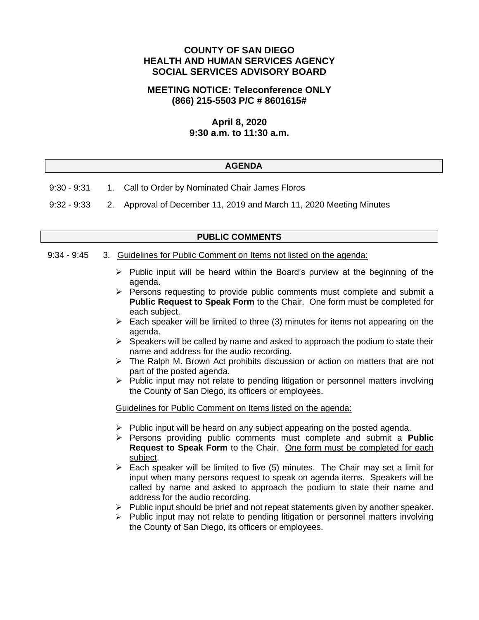# **COUNTY OF SAN DIEGO HEALTH AND HUMAN SERVICES AGENCY SOCIAL SERVICES ADVISORY BOARD**

### **MEETING NOTICE: Teleconference ONLY (866) 215-5503 P/C # 8601615#**

# **April 8, 2020 9:30 a.m. to 11:30 a.m.**

#### **AGENDA**

- 9:30 9:31 1. Call to Order by Nominated Chair James Floros
- 9:32 9:33 2. Approval of December 11, 2019 and March 11, 2020 Meeting Minutes

### **PUBLIC COMMENTS**

#### 9:34 - 9:45 3. Guidelines for Public Comment on Items not listed on the agenda:

- $\triangleright$  Public input will be heard within the Board's purview at the beginning of the agenda.
- $\triangleright$  Persons requesting to provide public comments must complete and submit a **Public Request to Speak Form** to the Chair. One form must be completed for each subject.
- $\triangleright$  Each speaker will be limited to three (3) minutes for items not appearing on the agenda.
- $\triangleright$  Speakers will be called by name and asked to approach the podium to state their name and address for the audio recording.
- ➢ The Ralph M. Brown Act prohibits discussion or action on matters that are not part of the posted agenda.
- ➢ Public input may not relate to pending litigation or personnel matters involving the County of San Diego, its officers or employees.

Guidelines for Public Comment on Items listed on the agenda:

- $\triangleright$  Public input will be heard on any subject appearing on the posted agenda.
- ➢ Persons providing public comments must complete and submit a **Public Request to Speak Form** to the Chair. One form must be completed for each subject.
- $\triangleright$  Each speaker will be limited to five (5) minutes. The Chair may set a limit for input when many persons request to speak on agenda items. Speakers will be called by name and asked to approach the podium to state their name and address for the audio recording.
- ➢ Public input should be brief and not repeat statements given by another speaker.
- $\triangleright$  Public input may not relate to pending litigation or personnel matters involving the County of San Diego, its officers or employees.